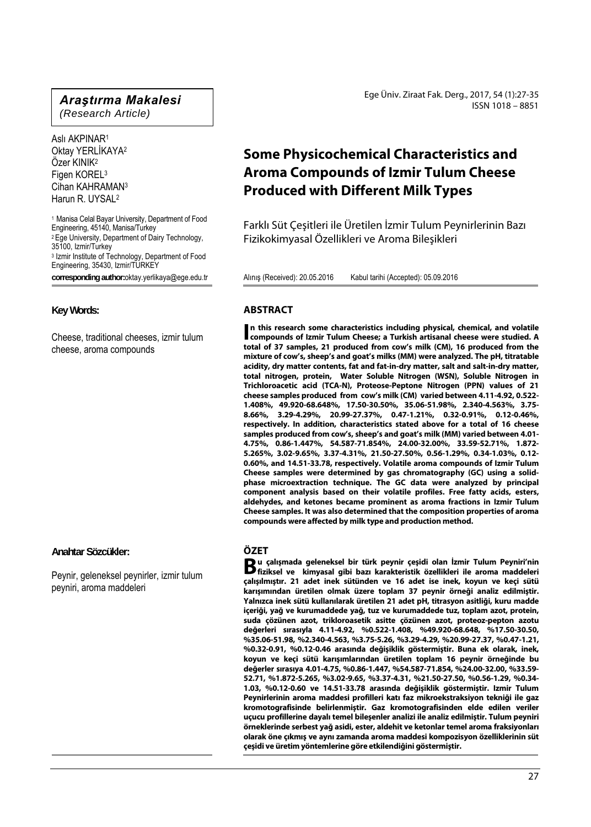## *Araştırma Makalesi*

*(Research Article)* 

Aslı AKPINAR1 Oktay YERLİKAYA2 Özer KINIK2 Figen KOREL3 Cihan KAHRAMAN3 Harun R. UYSAL2

<sup>1</sup> Manisa Celal Bayar University, Department of Food Engineering, 45140, Manisa/Turkey <sup>2</sup> Ege University, Department of Dairy Technology, 35100, Izmir/Turkey 3 Izmir Institute of Technology, Department of Food Engineering, 35430, Izmir/TURKEY **corresponding author:**oktay.yerlikaya@ege.edu.tr

**Key Words:** 

Cheese, traditional cheeses, izmir tulum cheese, aroma compounds

**Anahtar Sözcükler:** 

Peynir, geleneksel peynirler, izmir tulum peyniri, aroma maddeleri

Ege Üniv. Ziraat Fak. Derg., 2017, 54 (1):27-35 ISSN 1018 – 8851

# **Some Physicochemical Characteristics and Aroma Compounds of Izmir Tulum Cheese Produced with Different Milk Types**

Farklı Süt Çeşitleri ile Üretilen İzmir Tulum Peynirlerinin Bazı Fizikokimyasal Özellikleri ve Aroma Bileşikleri

Alınış (Received): 20.05.2016 Kabul tarihi (Accepted): 05.09.2016

## **ABSTRACT**

**n this research some characteristics including physical, chemical, and volatile compounds of Izmir Tulum Cheese; a Turkish artisanal cheese were studied. A and volatile compounds of Izmir Tulum Cheese; a Turkish artisanal cheese were studied. A total of 37 samples, 21 produced from cow's milk (CM), 16 produced from the mixture of cow's, sheep's and goat's milks (MM) were analyzed. The pH, titratable acidity, dry matter contents, fat and fat-in-dry matter, salt and salt-in-dry matter, total nitrogen, protein, Water Soluble Nitrogen (WSN), Soluble Nitrogen in Trichloroacetic acid (TCA-N), Proteose-Peptone Nitrogen (PPN) values of 21 cheese samples produced from cow's milk (CM) varied between 4.11-4.92, 0.522- 1.408%, 49.920-68.648%, 17.50-30.50%, 35.06-51.98%, 2.340-4.563%, 3.75- 8.66%, 3.29-4.29%, 20.99-27.37%, 0.47-1.21%, 0.32-0.91%, 0.12-0.46%, respectively. In addition, characteristics stated above for a total of 16 cheese samples produced from cow's, sheep's and goat's milk (MM) varied between 4.01- 4.75%, 0.86-1.447%, 54.587-71.854%, 24.00-32.00%, 33.59-52.71%, 1.872- 5.265%, 3.02-9.65%, 3.37-4.31%, 21.50-27.50%, 0.56-1.29%, 0.34-1.03%, 0.12- 0.60%, and 14.51-33.78, respectively. Volatile aroma compounds of Izmir Tulum Cheese samples were determined by gas chromatography (GC) using a solidphase microextraction technique. The GC data were analyzed by principal component analysis based on their volatile profiles. Free fatty acids, esters, aldehydes, and ketones became prominent as aroma fractions in Izmir Tulum Cheese samples. It was also determined that the composition properties of aroma compounds were affected by milk type and production method.** 

## **ÖZET**

**u çalışmada geleneksel bir türk peynir çeşidi olan İzmir Tulum Peyniri'nin fiziksel ve kimyasal gibi bazı karakteristik özellikleri ile aroma maddeleri B**<br>fiziksel ve kimyasal gibi bazı karakteristik özellikleri ile aroma maddeleri **çalışılmıştır. 21 adet inek sütünden ve 16 adet ise inek, koyun ve keçi sütü karışımından üretilen olmak üzere toplam 37 peynir örneği analiz edilmiştir. Yalnızca inek sütü kullanılarak üretilen 21 adet pH, titrasyon asitliği, kuru madde içeriği, yağ ve kurumaddede yağ, tuz ve kurumaddede tuz, toplam azot, protein, suda çözünen azot, trikloroasetik asitte çözünen azot, proteoz-pepton azotu değerleri sırasıyla 4.11-4.92, %0.522-1.408, %49.920-68.648, %17.50-30.50, %35.06-51.98, %2.340-4.563, %3.75-5.26, %3.29-4.29, %20.99-27.37, %0.47-1.21, %0.32-0.91, %0.12-0.46 arasında değişiklik göstermiştir. Buna ek olarak, inek, koyun ve keçi sütü karışımlarından üretilen toplam 16 peynir örneğinde bu değerler sırasıya 4.01-4.75, %0.86-1.447, %54.587-71.854, %24.00-32.00, %33.59- 52.71, %1.872-5.265, %3.02-9.65, %3.37-4.31, %21.50-27.50, %0.56-1.29, %0.34- 1.03, %0.12-0.60 ve 14.51-33.78 arasında değişiklik göstermiştir. Izmir Tulum Peynirlerinin aroma maddesi profilleri katı faz mikroekstraksiyon tekniği ile gaz kromotografisinde belirlenmiştir. Gaz kromotografisinden elde edilen veriler uçucu profillerine dayalı temel bileşenler analizi ile analiz edilmiştir. Tulum peyniri örneklerinde serbest yağ asidi, ester, aldehit ve ketonlar temel aroma fraksiyonları olarak öne çıkmış ve aynı zamanda aroma maddesi kompozisyon özelliklerinin süt çeşidi ve üretim yöntemlerine göre etkilendiğini göstermiştir.**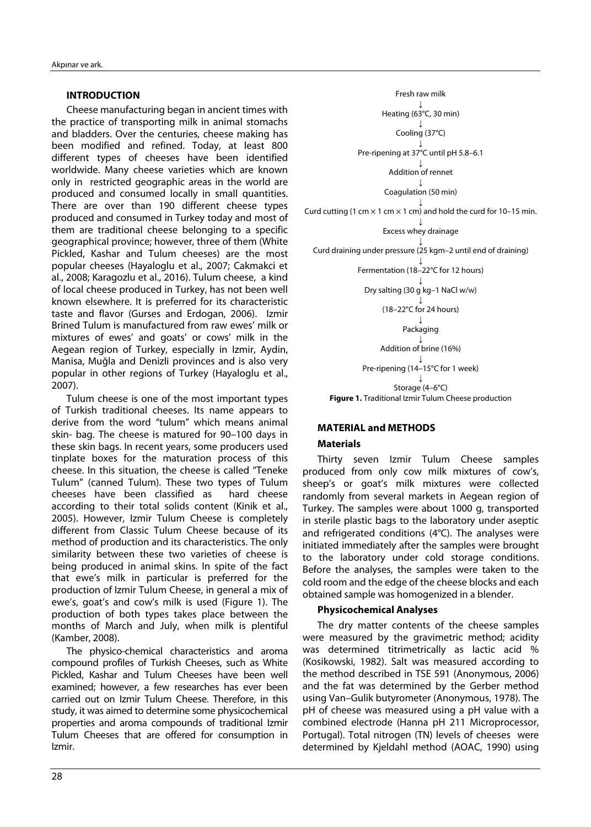## **INTRODUCTION**

Cheese manufacturing began in ancient times with the practice of transporting milk in animal stomachs and bladders. Over the centuries, cheese making has been modified and refined. Today, at least 800 different types of cheeses have been identified worldwide. Many cheese varieties which are known only in restricted geographic areas in the world are produced and consumed locally in small quantities. There are over than 190 different cheese types produced and consumed in Turkey today and most of them are traditional cheese belonging to a specific geographical province; however, three of them (White Pickled, Kashar and Tulum cheeses) are the most popular cheeses (Hayaloglu et al., 2007; Cakmakci et al., 2008; Karagozlu et al., 2016). Tulum cheese, a kind of local cheese produced in Turkey, has not been well known elsewhere. It is preferred for its characteristic taste and flavor (Gurses and Erdogan, 2006). Izmir Brined Tulum is manufactured from raw ewes' milk or mixtures of ewes' and goats' or cows' milk in the Aegean region of Turkey, especially in Izmir, Aydin, Manisa, Muğla and Denizli provinces and is also very popular in other regions of Turkey (Hayaloglu et al., 2007).

Tulum cheese is one of the most important types of Turkish traditional cheeses. Its name appears to derive from the word "tulum" which means animal skin- bag. The cheese is matured for 90–100 days in these skin bags. In recent years, some producers used tinplate boxes for the maturation process of this cheese. In this situation, the cheese is called "Teneke Tulum" (canned Tulum). These two types of Tulum cheeses have been classified as hard cheese according to their total solids content (Kinik et al., 2005). However, Izmir Tulum Cheese is completely different from Classic Tulum Cheese because of its method of production and its characteristics. The only similarity between these two varieties of cheese is being produced in animal skins. In spite of the fact that ewe's milk in particular is preferred for the production of Izmir Tulum Cheese, in general a mix of ewe's, goat's and cow's milk is used (Figure 1). The production of both types takes place between the months of March and July, when milk is plentiful (Kamber, 2008).

The physico-chemical characteristics and aroma compound profiles of Turkish Cheeses, such as White Pickled, Kashar and Tulum Cheeses have been well examined; however, a few researches has ever been carried out on Izmir Tulum Cheese. Therefore, in this study, it was aimed to determine some physicochemical properties and aroma compounds of traditional Izmir Tulum Cheeses that are offered for consumption in Izmir.



#### **MATERIAL and METHODS**

## **Materials**

Thirty seven Izmir Tulum Cheese samples produced from only cow milk mixtures of cow's, sheep's or goat's milk mixtures were collected randomly from several markets in Aegean region of Turkey. The samples were about 1000 g, transported in sterile plastic bags to the laboratory under aseptic and refrigerated conditions (4°C). The analyses were initiated immediately after the samples were brought to the laboratory under cold storage conditions. Before the analyses, the samples were taken to the cold room and the edge of the cheese blocks and each obtained sample was homogenized in a blender.

#### **Physicochemical Analyses**

The dry matter contents of the cheese samples were measured by the gravimetric method; acidity was determined titrimetrically as lactic acid % (Kosikowski, 1982). Salt was measured according to the method described in TSE 591 (Anonymous, 2006) and the fat was determined by the Gerber method using Van–Gulik butyrometer (Anonymous, 1978). The pH of cheese was measured using a pH value with a combined electrode (Hanna pH 211 Microprocessor, Portugal). Total nitrogen (TN) levels of cheeses were determined by Kjeldahl method (AOAC, 1990) using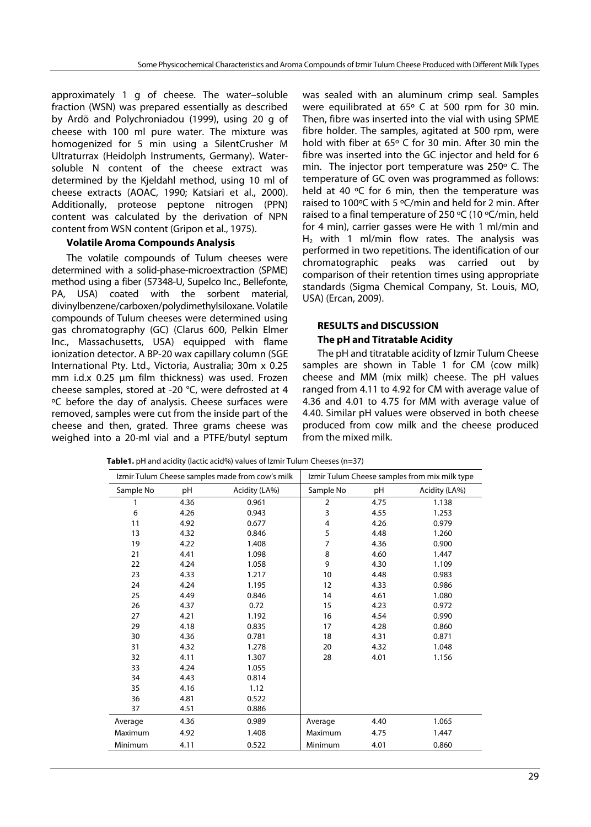approximately 1 g of cheese. The water–soluble fraction (WSN) was prepared essentially as described by Ardö and Polychroniadou (1999), using 20 g of cheese with 100 ml pure water. The mixture was homogenized for 5 min using a SilentCrusher M Ultraturrax (Heidolph Instruments, Germany). Watersoluble N content of the cheese extract was determined by the Kjeldahl method, using 10 ml of cheese extracts (AOAC, 1990; Katsiari et al., 2000). Additionally, proteose peptone nitrogen (PPN) content was calculated by the derivation of NPN content from WSN content (Gripon et al., 1975).

## **Volatile Aroma Compounds Analysis**

The volatile compounds of Tulum cheeses were determined with a solid-phase-microextraction (SPME) method using a fiber (57348-U, Supelco Inc., Bellefonte, PA, USA) coated with the sorbent material, divinylbenzene/carboxen/polydimethylsiloxane. Volatile compounds of Tulum cheeses were determined using gas chromatography (GC) (Clarus 600, Pelkin Elmer Inc., Massachusetts, USA) equipped with flame ionization detector. A BP-20 wax capillary column (SGE International Pty. Ltd., Victoria, Australia; 30m x 0.25 mm i.d.x 0.25 μm film thickness) was used. Frozen cheese samples, stored at -20 °C, were defrosted at 4 ºC before the day of analysis. Cheese surfaces were removed, samples were cut from the inside part of the cheese and then, grated. Three grams cheese was weighed into a 20-ml vial and a PTFE/butyl septum

was sealed with an aluminum crimp seal. Samples were equilibrated at 65º C at 500 rpm for 30 min. Then, fibre was inserted into the vial with using SPME fibre holder. The samples, agitated at 500 rpm, were hold with fiber at 65º C for 30 min. After 30 min the fibre was inserted into the GC injector and held for 6 min. The injector port temperature was 250º C. The temperature of GC oven was programmed as follows: held at 40 °C for 6 min, then the temperature was raised to 100ºC with 5 ºC/min and held for 2 min. After raised to a final temperature of 250 ºC (10 ºC/min, held for 4 min), carrier gasses were He with 1 ml/min and  $H<sub>2</sub>$  with 1 ml/min flow rates. The analysis was performed in two repetitions. The identification of our chromatographic peaks was carried out by comparison of their retention times using appropriate standards (Sigma Chemical Company, St. Louis, MO, USA) (Ercan, 2009).

## **RESULTS and DISCUSSION The pH and Titratable Acidity**

The pH and titratable acidity of Izmir Tulum Cheese samples are shown in Table 1 for CM (cow milk) cheese and MM (mix milk) cheese. The pH values ranged from 4.11 to 4.92 for CM with average value of 4.36 and 4.01 to 4.75 for MM with average value of 4.40. Similar pH values were observed in both cheese produced from cow milk and the cheese produced from the mixed milk.

**Table1.** pH and acidity (lactic acid%) values of Izmir Tulum Cheeses (n=37)

| Izmir Tulum Cheese samples made from cow's milk |      |               | Izmir Tulum Cheese samples from mix milk type |      |               |  |
|-------------------------------------------------|------|---------------|-----------------------------------------------|------|---------------|--|
| Sample No                                       | pH   | Acidity (LA%) | Sample No                                     | pH   | Acidity (LA%) |  |
| 1                                               | 4.36 | 0.961         | $\overline{2}$                                | 4.75 | 1.138         |  |
| 6                                               | 4.26 | 0.943         | 3                                             | 4.55 | 1.253         |  |
| 11                                              | 4.92 | 0.677         | 4                                             | 4.26 | 0.979         |  |
| 13                                              | 4.32 | 0.846         | 5                                             | 4.48 | 1.260         |  |
| 19                                              | 4.22 | 1.408         | $\overline{7}$                                | 4.36 | 0.900         |  |
| 21                                              | 4.41 | 1.098         | 8                                             | 4.60 | 1.447         |  |
| 22                                              | 4.24 | 1.058         | 9                                             | 4.30 | 1.109         |  |
| 23                                              | 4.33 | 1.217         | 10                                            | 4.48 | 0.983         |  |
| 24                                              | 4.24 | 1.195         | 12                                            | 4.33 | 0.986         |  |
| 25                                              | 4.49 | 0.846         | 14                                            | 4.61 | 1.080         |  |
| 26                                              | 4.37 | 0.72          | 15                                            | 4.23 | 0.972         |  |
| 27                                              | 4.21 | 1.192         | 16                                            | 4.54 | 0.990         |  |
| 29                                              | 4.18 | 0.835         | 17                                            | 4.28 | 0.860         |  |
| 30                                              | 4.36 | 0.781         | 18                                            | 4.31 | 0.871         |  |
| 31                                              | 4.32 | 1.278         | 20                                            | 4.32 | 1.048         |  |
| 32                                              | 4.11 | 1.307         | 28                                            | 4.01 | 1.156         |  |
| 33                                              | 4.24 | 1.055         |                                               |      |               |  |
| 34                                              | 4.43 | 0.814         |                                               |      |               |  |
| 35                                              | 4.16 | 1.12          |                                               |      |               |  |
| 36                                              | 4.81 | 0.522         |                                               |      |               |  |
| 37                                              | 4.51 | 0.886         |                                               |      |               |  |
| Average                                         | 4.36 | 0.989         | Average                                       | 4.40 | 1.065         |  |
| Maximum                                         | 4.92 | 1.408         | Maximum                                       | 4.75 | 1.447         |  |
| Minimum                                         | 4.11 | 0.522         | Minimum                                       | 4.01 | 0.860         |  |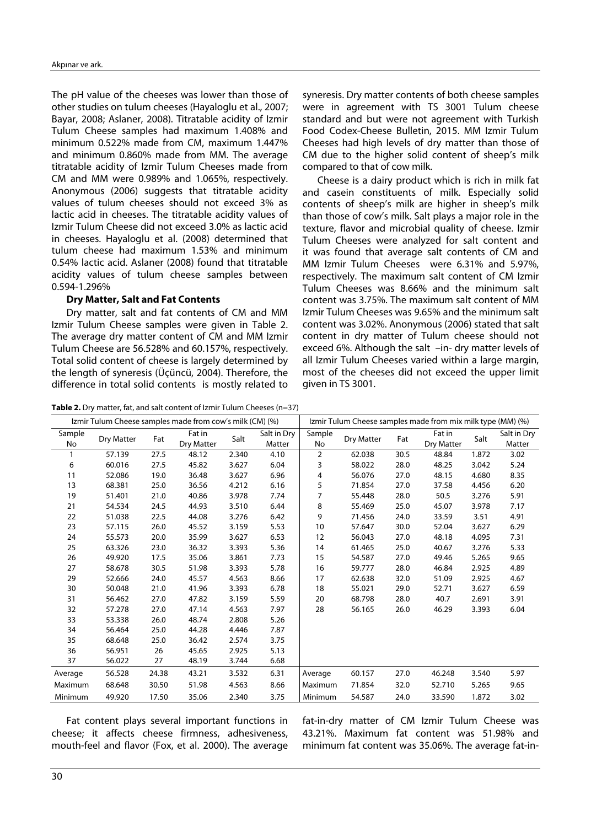The pH value of the cheeses was lower than those of other studies on tulum cheeses (Hayaloglu et al., 2007; Bayar, 2008; Aslaner, 2008). Titratable acidity of Izmir Tulum Cheese samples had maximum 1.408% and minimum 0.522% made from CM, maximum 1.447% and minimum 0.860% made from MM. The average titratable acidity of Izmir Tulum Cheeses made from CM and MM were 0.989% and 1.065%, respectively. Anonymous (2006) suggests that titratable acidity values of tulum cheeses should not exceed 3% as lactic acid in cheeses. The titratable acidity values of Izmir Tulum Cheese did not exceed 3.0% as lactic acid in cheeses. Hayaloglu et al. (2008) determined that tulum cheese had maximum 1.53% and minimum 0.54% lactic acid. Aslaner (2008) found that titratable acidity values of tulum cheese samples between 0.594-1.296%

#### **Dry Matter, Salt and Fat Contents**

Dry matter, salt and fat contents of CM and MM Izmir Tulum Cheese samples were given in Table 2. The average dry matter content of CM and MM Izmir Tulum Cheese are 56.528% and 60.157%, respectively. Total solid content of cheese is largely determined by the length of syneresis (Üçüncü, 2004). Therefore, the difference in total solid contents is mostly related to

syneresis. Dry matter contents of both cheese samples were in agreement with TS 3001 Tulum cheese standard and but were not agreement with Turkish Food Codex-Cheese Bulletin, 2015. MM Izmir Tulum Cheeses had high levels of dry matter than those of CM due to the higher solid content of sheep's milk compared to that of cow milk.

Cheese is a dairy product which is rich in milk fat and casein constituents of milk. Especially solid contents of sheep's milk are higher in sheep's milk than those of cow's milk. Salt plays a major role in the texture, flavor and microbial quality of cheese. Izmir Tulum Cheeses were analyzed for salt content and it was found that average salt contents of CM and MM Izmir Tulum Cheeses were 6.31% and 5.97%, respectively. The maximum salt content of CM Izmir Tulum Cheeses was 8.66% and the minimum salt content was 3.75%. The maximum salt content of MM Izmir Tulum Cheeses was 9.65% and the minimum salt content was 3.02%. Anonymous (2006) stated that salt content in dry matter of Tulum cheese should not exceed 6%. Although the salt –in- dry matter levels of all Izmir Tulum Cheeses varied within a large margin, most of the cheeses did not exceed the upper limit given in TS 3001.

**Table 2.** Dry matter, fat, and salt content of Izmir Tulum Cheeses (n=37)

| Izmir Tulum Cheese samples made from cow's milk (CM) (%) |            |       |                      | Izmir Tulum Cheese samples made from mix milk type (MM) (%) |                       |              |            |      |                      |       |                       |
|----------------------------------------------------------|------------|-------|----------------------|-------------------------------------------------------------|-----------------------|--------------|------------|------|----------------------|-------|-----------------------|
| Sample<br>No                                             | Dry Matter | Fat   | Fat in<br>Dry Matter | Salt                                                        | Salt in Dry<br>Matter | Sample<br>No | Dry Matter | Fat  | Fat in<br>Dry Matter | Salt  | Salt in Dry<br>Matter |
| 1                                                        | 57.139     | 27.5  | 48.12                | 2.340                                                       | 4.10                  | 2            | 62.038     | 30.5 | 48.84                | 1.872 | 3.02                  |
| 6                                                        | 60.016     | 27.5  | 45.82                | 3.627                                                       | 6.04                  | 3            | 58.022     | 28.0 | 48.25                | 3.042 | 5.24                  |
| 11                                                       | 52.086     | 19.0  | 36.48                | 3.627                                                       | 6.96                  | 4            | 56.076     | 27.0 | 48.15                | 4.680 | 8.35                  |
| 13                                                       | 68.381     | 25.0  | 36.56                | 4.212                                                       | 6.16                  | 5            | 71.854     | 27.0 | 37.58                | 4.456 | 6.20                  |
| 19                                                       | 51.401     | 21.0  | 40.86                | 3.978                                                       | 7.74                  | 7            | 55.448     | 28.0 | 50.5                 | 3.276 | 5.91                  |
| 21                                                       | 54.534     | 24.5  | 44.93                | 3.510                                                       | 6.44                  | 8            | 55.469     | 25.0 | 45.07                | 3.978 | 7.17                  |
| 22                                                       | 51.038     | 22.5  | 44.08                | 3.276                                                       | 6.42                  | 9            | 71.456     | 24.0 | 33.59                | 3.51  | 4.91                  |
| 23                                                       | 57.115     | 26.0  | 45.52                | 3.159                                                       | 5.53                  | 10           | 57.647     | 30.0 | 52.04                | 3.627 | 6.29                  |
| 24                                                       | 55.573     | 20.0  | 35.99                | 3.627                                                       | 6.53                  | 12           | 56.043     | 27.0 | 48.18                | 4.095 | 7.31                  |
| 25                                                       | 63.326     | 23.0  | 36.32                | 3.393                                                       | 5.36                  | 14           | 61.465     | 25.0 | 40.67                | 3.276 | 5.33                  |
| 26                                                       | 49.920     | 17.5  | 35.06                | 3.861                                                       | 7.73                  | 15           | 54.587     | 27.0 | 49.46                | 5.265 | 9.65                  |
| 27                                                       | 58.678     | 30.5  | 51.98                | 3.393                                                       | 5.78                  | 16           | 59.777     | 28.0 | 46.84                | 2.925 | 4.89                  |
| 29                                                       | 52.666     | 24.0  | 45.57                | 4.563                                                       | 8.66                  | 17           | 62.638     | 32.0 | 51.09                | 2.925 | 4.67                  |
| 30                                                       | 50.048     | 21.0  | 41.96                | 3.393                                                       | 6.78                  | 18           | 55.021     | 29.0 | 52.71                | 3.627 | 6.59                  |
| 31                                                       | 56.462     | 27.0  | 47.82                | 3.159                                                       | 5.59                  | 20           | 68.798     | 28.0 | 40.7                 | 2.691 | 3.91                  |
| 32                                                       | 57.278     | 27.0  | 47.14                | 4.563                                                       | 7.97                  | 28           | 56.165     | 26.0 | 46.29                | 3.393 | 6.04                  |
| 33                                                       | 53.338     | 26.0  | 48.74                | 2.808                                                       | 5.26                  |              |            |      |                      |       |                       |
| 34                                                       | 56.464     | 25.0  | 44.28                | 4.446                                                       | 7.87                  |              |            |      |                      |       |                       |
| 35                                                       | 68.648     | 25.0  | 36.42                | 2.574                                                       | 3.75                  |              |            |      |                      |       |                       |
| 36                                                       | 56.951     | 26    | 45.65                | 2.925                                                       | 5.13                  |              |            |      |                      |       |                       |
| 37                                                       | 56.022     | 27    | 48.19                | 3.744                                                       | 6.68                  |              |            |      |                      |       |                       |
| Average                                                  | 56.528     | 24.38 | 43.21                | 3.532                                                       | 6.31                  | Average      | 60.157     | 27.0 | 46.248               | 3.540 | 5.97                  |
| Maximum                                                  | 68.648     | 30.50 | 51.98                | 4.563                                                       | 8.66                  | Maximum      | 71.854     | 32.0 | 52.710               | 5.265 | 9.65                  |
| Minimum                                                  | 49.920     | 17.50 | 35.06                | 2.340                                                       | 3.75                  | Minimum      | 54.587     | 24.0 | 33.590               | 1.872 | 3.02                  |

Fat content plays several important functions in cheese; it affects cheese firmness, adhesiveness, mouth-feel and flavor (Fox, et al. 2000). The average fat-in-dry matter of CM Izmir Tulum Cheese was 43.21%. Maximum fat content was 51.98% and minimum fat content was 35.06%. The average fat-in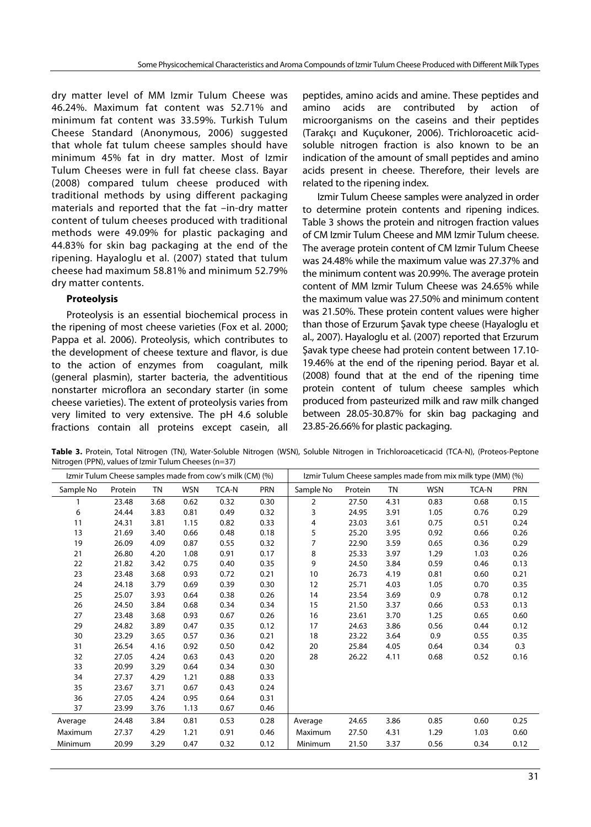dry matter level of MM Izmir Tulum Cheese was 46.24%. Maximum fat content was 52.71% and minimum fat content was 33.59%. Turkish Tulum Cheese Standard (Anonymous, 2006) suggested that whole fat tulum cheese samples should have minimum 45% fat in dry matter. Most of Izmir Tulum Cheeses were in full fat cheese class. Bayar (2008) compared tulum cheese produced with traditional methods by using different packaging materials and reported that the fat –in-dry matter content of tulum cheeses produced with traditional methods were 49.09% for plastic packaging and 44.83% for skin bag packaging at the end of the ripening. Hayaloglu et al. (2007) stated that tulum cheese had maximum 58.81% and minimum 52.79% dry matter contents.

## **Proteolysis**

Proteolysis is an essential biochemical process in the ripening of most cheese varieties (Fox et al. 2000; Pappa et al. 2006). Proteolysis, which contributes to the development of cheese texture and flavor, is due to the action of enzymes from coagulant, milk (general plasmin), starter bacteria, the adventitious nonstarter microflora an secondary starter (in some cheese varieties). The extent of proteolysis varies from very limited to very extensive. The pH 4.6 soluble fractions contain all proteins except casein, all peptides, amino acids and amine. These peptides and amino acids are contributed by action of microorganisms on the caseins and their peptides (Tarakçı and Kuçukoner, 2006). Trichloroacetic acidsoluble nitrogen fraction is also known to be an indication of the amount of small peptides and amino acids present in cheese. Therefore, their levels are related to the ripening index.

Izmir Tulum Cheese samples were analyzed in order to determine protein contents and ripening indices. Table 3 shows the protein and nitrogen fraction values of CM Izmir Tulum Cheese and MM Izmir Tulum cheese. The average protein content of CM Izmir Tulum Cheese was 24.48% while the maximum value was 27.37% and the minimum content was 20.99%. The average protein content of MM Izmir Tulum Cheese was 24.65% while the maximum value was 27.50% and minimum content was 21.50%. These protein content values were higher than those of Erzurum Şavak type cheese (Hayaloglu et al., 2007). Hayaloglu et al. (2007) reported that Erzurum Şavak type cheese had protein content between 17.10- 19.46% at the end of the ripening period. Bayar et al. (2008) found that at the end of the ripening time protein content of tulum cheese samples which produced from pasteurized milk and raw milk changed between 28.05-30.87% for skin bag packaging and 23.85-26.66% for plastic packaging.

**Table 3.** Protein, Total Nitrogen (TN), Water-Soluble Nitrogen (WSN), Soluble Nitrogen in Trichloroaceticacid (TCA-N), (Proteos-Peptone Nitrogen (PPN), values of Izmir Tulum Cheeses (n=37)

| Izmir Tulum Cheese samples made from cow's milk (CM) (%) |         |           | Izmir Tulum Cheese samples made from mix milk type (MM) (%) |              |            |           |         |           |            |              |            |
|----------------------------------------------------------|---------|-----------|-------------------------------------------------------------|--------------|------------|-----------|---------|-----------|------------|--------------|------------|
| Sample No                                                | Protein | <b>TN</b> | <b>WSN</b>                                                  | <b>TCA-N</b> | <b>PRN</b> | Sample No | Protein | <b>TN</b> | <b>WSN</b> | <b>TCA-N</b> | <b>PRN</b> |
|                                                          | 23.48   | 3.68      | 0.62                                                        | 0.32         | 0.30       | 2         | 27.50   | 4.31      | 0.83       | 0.68         | 0.15       |
| 6                                                        | 24.44   | 3.83      | 0.81                                                        | 0.49         | 0.32       | 3         | 24.95   | 3.91      | 1.05       | 0.76         | 0.29       |
| 11                                                       | 24.31   | 3.81      | 1.15                                                        | 0.82         | 0.33       | 4         | 23.03   | 3.61      | 0.75       | 0.51         | 0.24       |
| 13                                                       | 21.69   | 3.40      | 0.66                                                        | 0.48         | 0.18       | 5         | 25.20   | 3.95      | 0.92       | 0.66         | 0.26       |
| 19                                                       | 26.09   | 4.09      | 0.87                                                        | 0.55         | 0.32       | 7         | 22.90   | 3.59      | 0.65       | 0.36         | 0.29       |
| 21                                                       | 26.80   | 4.20      | 1.08                                                        | 0.91         | 0.17       | 8         | 25.33   | 3.97      | 1.29       | 1.03         | 0.26       |
| 22                                                       | 21.82   | 3.42      | 0.75                                                        | 0.40         | 0.35       | 9         | 24.50   | 3.84      | 0.59       | 0.46         | 0.13       |
| 23                                                       | 23.48   | 3.68      | 0.93                                                        | 0.72         | 0.21       | 10        | 26.73   | 4.19      | 0.81       | 0.60         | 0.21       |
| 24                                                       | 24.18   | 3.79      | 0.69                                                        | 0.39         | 0.30       | 12        | 25.71   | 4.03      | 1.05       | 0.70         | 0.35       |
| 25                                                       | 25.07   | 3.93      | 0.64                                                        | 0.38         | 0.26       | 14        | 23.54   | 3.69      | 0.9        | 0.78         | 0.12       |
| 26                                                       | 24.50   | 3.84      | 0.68                                                        | 0.34         | 0.34       | 15        | 21.50   | 3.37      | 0.66       | 0.53         | 0.13       |
| 27                                                       | 23.48   | 3.68      | 0.93                                                        | 0.67         | 0.26       | 16        | 23.61   | 3.70      | 1.25       | 0.65         | 0.60       |
| 29                                                       | 24.82   | 3.89      | 0.47                                                        | 0.35         | 0.12       | 17        | 24.63   | 3.86      | 0.56       | 0.44         | 0.12       |
| 30                                                       | 23.29   | 3.65      | 0.57                                                        | 0.36         | 0.21       | 18        | 23.22   | 3.64      | 0.9        | 0.55         | 0.35       |
| 31                                                       | 26.54   | 4.16      | 0.92                                                        | 0.50         | 0.42       | 20        | 25.84   | 4.05      | 0.64       | 0.34         | 0.3        |
| 32                                                       | 27.05   | 4.24      | 0.63                                                        | 0.43         | 0.20       | 28        | 26.22   | 4.11      | 0.68       | 0.52         | 0.16       |
| 33                                                       | 20.99   | 3.29      | 0.64                                                        | 0.34         | 0.30       |           |         |           |            |              |            |
| 34                                                       | 27.37   | 4.29      | 1.21                                                        | 0.88         | 0.33       |           |         |           |            |              |            |
| 35                                                       | 23.67   | 3.71      | 0.67                                                        | 0.43         | 0.24       |           |         |           |            |              |            |
| 36                                                       | 27.05   | 4.24      | 0.95                                                        | 0.64         | 0.31       |           |         |           |            |              |            |
| 37                                                       | 23.99   | 3.76      | 1.13                                                        | 0.67         | 0.46       |           |         |           |            |              |            |
| Average                                                  | 24.48   | 3.84      | 0.81                                                        | 0.53         | 0.28       | Average   | 24.65   | 3.86      | 0.85       | 0.60         | 0.25       |
| Maximum                                                  | 27.37   | 4.29      | 1.21                                                        | 0.91         | 0.46       | Maximum   | 27.50   | 4.31      | 1.29       | 1.03         | 0.60       |
| Minimum                                                  | 20.99   | 3.29      | 0.47                                                        | 0.32         | 0.12       | Minimum   | 21.50   | 3.37      | 0.56       | 0.34         | 0.12       |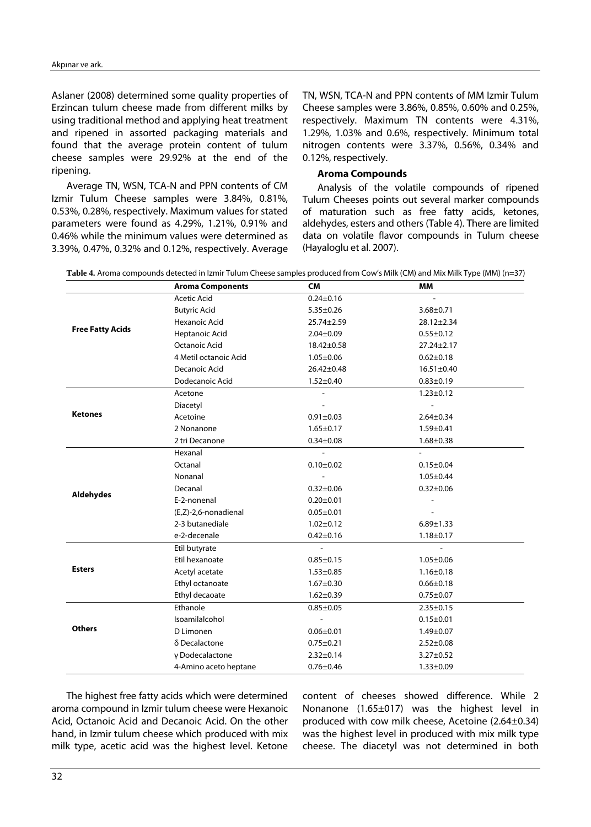Aslaner (2008) determined some quality properties of Erzincan tulum cheese made from different milks by using traditional method and applying heat treatment and ripened in assorted packaging materials and found that the average protein content of tulum cheese samples were 29.92% at the end of the ripening.

Average TN, WSN, TCA-N and PPN contents of CM Izmir Tulum Cheese samples were 3.84%, 0.81%, 0.53%, 0.28%, respectively. Maximum values for stated parameters were found as 4.29%, 1.21%, 0.91% and 0.46% while the minimum values were determined as 3.39%, 0.47%, 0.32% and 0.12%, respectively. Average

TN, WSN, TCA-N and PPN contents of MM Izmir Tulum Cheese samples were 3.86%, 0.85%, 0.60% and 0.25%, respectively. Maximum TN contents were 4.31%, 1.29%, 1.03% and 0.6%, respectively. Minimum total nitrogen contents were 3.37%, 0.56%, 0.34% and 0.12%, respectively.

## **Aroma Compounds**

Analysis of the volatile compounds of ripened Tulum Cheeses points out several marker compounds of maturation such as free fatty acids, ketones, aldehydes, esters and others (Table 4). There are limited data on volatile flavor compounds in Tulum cheese (Hayaloglu et al. 2007).

|  |  | Table 4. Aroma compounds detected in Izmir Tulum Cheese samples produced from Cow's Milk (CM) and Mix Milk Type (MM) (n=37) |
|--|--|-----------------------------------------------------------------------------------------------------------------------------|
|--|--|-----------------------------------------------------------------------------------------------------------------------------|

|                                                                                                                                                                                                                                                                                                                                                                                                                                                                                                                                                                                                     | <b>Aroma Components</b> | <b>CM</b>        | <b>MM</b>        |  |
|-----------------------------------------------------------------------------------------------------------------------------------------------------------------------------------------------------------------------------------------------------------------------------------------------------------------------------------------------------------------------------------------------------------------------------------------------------------------------------------------------------------------------------------------------------------------------------------------------------|-------------------------|------------------|------------------|--|
|                                                                                                                                                                                                                                                                                                                                                                                                                                                                                                                                                                                                     | <b>Acetic Acid</b>      | $0.24 \pm 0.16$  |                  |  |
|                                                                                                                                                                                                                                                                                                                                                                                                                                                                                                                                                                                                     | <b>Butyric Acid</b>     | $5.35 \pm 0.26$  | $3.68 \pm 0.71$  |  |
|                                                                                                                                                                                                                                                                                                                                                                                                                                                                                                                                                                                                     | Hexanoic Acid           | $25.74 \pm 2.59$ | $28.12 \pm 2.34$ |  |
|                                                                                                                                                                                                                                                                                                                                                                                                                                                                                                                                                                                                     | Heptanoic Acid          | $2.04 \pm 0.09$  | $0.55 \pm 0.12$  |  |
|                                                                                                                                                                                                                                                                                                                                                                                                                                                                                                                                                                                                     | Octanoic Acid           | 18.42±0.58       | $27.24 \pm 2.17$ |  |
|                                                                                                                                                                                                                                                                                                                                                                                                                                                                                                                                                                                                     | 4 Metil octanoic Acid   | $1.05 \pm 0.06$  | $0.62 \pm 0.18$  |  |
|                                                                                                                                                                                                                                                                                                                                                                                                                                                                                                                                                                                                     | Decanoic Acid           | $26.42 \pm 0.48$ | $16.51 \pm 0.40$ |  |
|                                                                                                                                                                                                                                                                                                                                                                                                                                                                                                                                                                                                     | Dodecanoic Acid         | $1.52 \pm 0.40$  | $0.83 \pm 0.19$  |  |
|                                                                                                                                                                                                                                                                                                                                                                                                                                                                                                                                                                                                     | Acetone                 |                  | $1.23 \pm 0.12$  |  |
|                                                                                                                                                                                                                                                                                                                                                                                                                                                                                                                                                                                                     | Diacetyl                |                  |                  |  |
|                                                                                                                                                                                                                                                                                                                                                                                                                                                                                                                                                                                                     | Acetoine                | $0.91 \pm 0.03$  | $2.64 \pm 0.34$  |  |
|                                                                                                                                                                                                                                                                                                                                                                                                                                                                                                                                                                                                     | 2 Nonanone              | $1.65 \pm 0.17$  | $1.59 \pm 0.41$  |  |
|                                                                                                                                                                                                                                                                                                                                                                                                                                                                                                                                                                                                     | 2 tri Decanone          | $0.34 \pm 0.08$  | $1.68 \pm 0.38$  |  |
|                                                                                                                                                                                                                                                                                                                                                                                                                                                                                                                                                                                                     | Hexanal                 |                  |                  |  |
|                                                                                                                                                                                                                                                                                                                                                                                                                                                                                                                                                                                                     | Octanal                 | $0.10 \pm 0.02$  | $0.15 \pm 0.04$  |  |
|                                                                                                                                                                                                                                                                                                                                                                                                                                                                                                                                                                                                     | Nonanal                 |                  | $1.05 \pm 0.44$  |  |
|                                                                                                                                                                                                                                                                                                                                                                                                                                                                                                                                                                                                     | Decanal                 | $0.32 \pm 0.06$  | $0.32 \pm 0.06$  |  |
| <b>Free Fatty Acids</b><br><b>Ketones</b><br>E-2-nonenal<br>$0.20 \pm 0.01$<br>(E,Z)-2,6-nonadienal<br>$0.05 \pm 0.01$<br>2-3 butanediale<br>$1.02 \pm 0.12$<br>e-2-decenale<br>$0.42 \pm 0.16$<br>Etil butyrate<br>Etil hexanoate<br>$0.85 \pm 0.15$<br><b>Esters</b><br>Acetyl acetate<br>$1.53 \pm 0.85$<br>Ethyl octanoate<br>$1.67 + 0.30$<br>Ethyl decaoate<br>$1.62 \pm 0.39$<br>Ethanole<br>$0.85 + 0.05$<br>Isoamilalcohol<br>Others<br>D Limonen<br>$0.06 \pm 0.01$<br>δ Decalactone<br>$0.75 \pm 0.21$<br>γ Dodecalactone<br>$2.32 \pm 0.14$<br>4-Amino aceto heptane<br>$0.76 \pm 0.46$ |                         |                  |                  |  |
| <b>Aldehydes</b>                                                                                                                                                                                                                                                                                                                                                                                                                                                                                                                                                                                    |                         |                  |                  |  |
|                                                                                                                                                                                                                                                                                                                                                                                                                                                                                                                                                                                                     |                         |                  | $6.89 \pm 1.33$  |  |
|                                                                                                                                                                                                                                                                                                                                                                                                                                                                                                                                                                                                     |                         |                  | $1.18 \pm 0.17$  |  |
|                                                                                                                                                                                                                                                                                                                                                                                                                                                                                                                                                                                                     |                         |                  |                  |  |
|                                                                                                                                                                                                                                                                                                                                                                                                                                                                                                                                                                                                     |                         |                  | $1.05 \pm 0.06$  |  |
|                                                                                                                                                                                                                                                                                                                                                                                                                                                                                                                                                                                                     |                         |                  | $1.16 \pm 0.18$  |  |
|                                                                                                                                                                                                                                                                                                                                                                                                                                                                                                                                                                                                     |                         |                  | $0.66 \pm 0.18$  |  |
|                                                                                                                                                                                                                                                                                                                                                                                                                                                                                                                                                                                                     |                         |                  | $0.75 \pm 0.07$  |  |
|                                                                                                                                                                                                                                                                                                                                                                                                                                                                                                                                                                                                     |                         |                  | $2.35 \pm 0.15$  |  |
|                                                                                                                                                                                                                                                                                                                                                                                                                                                                                                                                                                                                     |                         |                  | $0.15 \pm 0.01$  |  |
|                                                                                                                                                                                                                                                                                                                                                                                                                                                                                                                                                                                                     |                         |                  | $1.49 \pm 0.07$  |  |
|                                                                                                                                                                                                                                                                                                                                                                                                                                                                                                                                                                                                     |                         |                  | $2.52 \pm 0.08$  |  |
|                                                                                                                                                                                                                                                                                                                                                                                                                                                                                                                                                                                                     |                         |                  | $3.27 \pm 0.52$  |  |
|                                                                                                                                                                                                                                                                                                                                                                                                                                                                                                                                                                                                     |                         |                  | $1.33 \pm 0.09$  |  |

The highest free fatty acids which were determined aroma compound in Izmir tulum cheese were Hexanoic Acid, Octanoic Acid and Decanoic Acid. On the other hand, in Izmir tulum cheese which produced with mix milk type, acetic acid was the highest level. Ketone

content of cheeses showed difference. While 2 Nonanone (1.65±017) was the highest level in produced with cow milk cheese, Acetoine (2.64±0.34) was the highest level in produced with mix milk type cheese. The diacetyl was not determined in both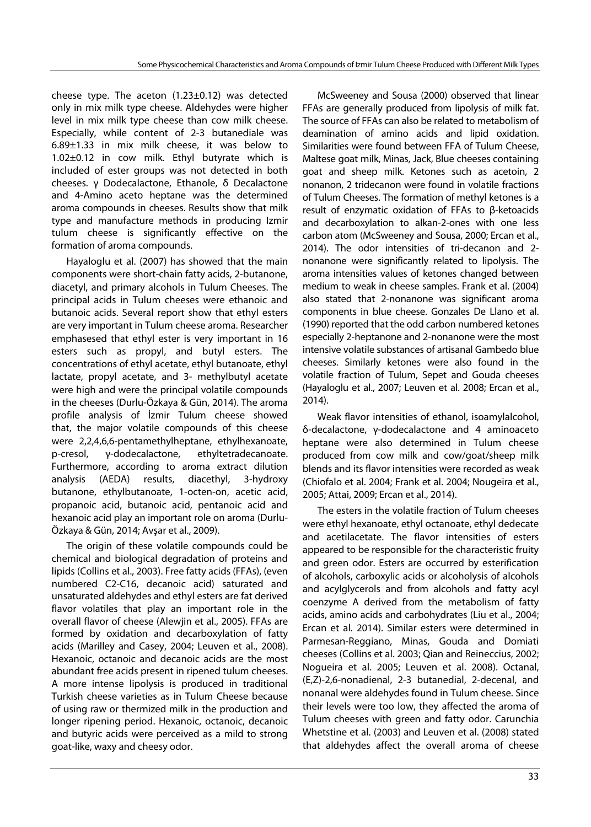cheese type. The aceton (1.23±0.12) was detected only in mix milk type cheese. Aldehydes were higher level in mix milk type cheese than cow milk cheese. Especially, while content of 2-3 butanediale was 6.89±1.33 in mix milk cheese, it was below to 1.02±0.12 in cow milk. Ethyl butyrate which is included of ester groups was not detected in both cheeses. γ Dodecalactone, Ethanole, δ Decalactone and 4-Amino aceto heptane was the determined aroma compounds in cheeses. Results show that milk type and manufacture methods in producing Izmir tulum cheese is significantly effective on the formation of aroma compounds.

Hayaloglu et al. (2007) has showed that the main components were short-chain fatty acids, 2-butanone, diacetyl, and primary alcohols in Tulum Cheeses. The principal acids in Tulum cheeses were ethanoic and butanoic acids. Several report show that ethyl esters are very important in Tulum cheese aroma. Researcher emphasesed that ethyl ester is very important in 16 esters such as propyl, and butyl esters. The concentrations of ethyl acetate, ethyl butanoate, ethyl lactate, propyl acetate, and 3- methylbutyl acetate were high and were the principal volatile compounds in the cheeses (Durlu-Özkaya & Gün, 2014). The aroma profile analysis of İzmir Tulum cheese showed that, the major volatile compounds of this cheese were 2,2,4,6,6-pentamethylheptane, ethylhexanoate, p-cresol, γ-dodecalactone, ethyltetradecanoate. Furthermore, according to aroma extract dilution analysis (AEDA) results, diacethyl, 3-hydroxy butanone, ethylbutanoate, 1-octen-on, acetic acid, propanoic acid, butanoic acid, pentanoic acid and hexanoic acid play an important role on aroma (Durlu-Özkaya & Gün, 2014; Avşar et al., 2009).

The origin of these volatile compounds could be chemical and biological degradation of proteins and lipids (Collins et al., 2003). Free fatty acids (FFAs), (even numbered C2-C16, decanoic acid) saturated and unsaturated aldehydes and ethyl esters are fat derived flavor volatiles that play an important role in the overall flavor of cheese (Alewjin et al., 2005). FFAs are formed by oxidation and decarboxylation of fatty acids (Marilley and Casey, 2004; Leuven et al., 2008). Hexanoic, octanoic and decanoic acids are the most abundant free acids present in ripened tulum cheeses. A more intense lipolysis is produced in traditional Turkish cheese varieties as in Tulum Cheese because of using raw or thermized milk in the production and longer ripening period. Hexanoic, octanoic, decanoic and butyric acids were perceived as a mild to strong goat-like, waxy and cheesy odor.

McSweeney and Sousa (2000) observed that linear FFAs are generally produced from lipolysis of milk fat. The source of FFAs can also be related to metabolism of deamination of amino acids and lipid oxidation. Similarities were found between FFA of Tulum Cheese, Maltese goat milk, Minas, Jack, Blue cheeses containing goat and sheep milk. Ketones such as acetoin, 2 nonanon, 2 tridecanon were found in volatile fractions of Tulum Cheeses. The formation of methyl ketones is a result of enzymatic oxidation of FFAs to β-ketoacids and decarboxylation to alkan-2-ones with one less carbon atom (McSweeney and Sousa, 2000; Ercan et al., 2014). The odor intensities of tri-decanon and 2 nonanone were significantly related to lipolysis. The aroma intensities values of ketones changed between medium to weak in cheese samples. Frank et al. (2004) also stated that 2-nonanone was significant aroma components in blue cheese. Gonzales De Llano et al. (1990) reported that the odd carbon numbered ketones especially 2-heptanone and 2-nonanone were the most intensive volatile substances of artisanal Gambedo blue cheeses. Similarly ketones were also found in the volatile fraction of Tulum, Sepet and Gouda cheeses (Hayaloglu et al., 2007; Leuven et al. 2008; Ercan et al., 2014).

Weak flavor intensities of ethanol, isoamylalcohol, δ-decalactone, γ-dodecalactone and 4 aminoaceto heptane were also determined in Tulum cheese produced from cow milk and cow/goat/sheep milk blends and its flavor intensities were recorded as weak (Chiofalo et al. 2004; Frank et al. 2004; Nougeira et al., 2005; Attai, 2009; Ercan et al., 2014).

The esters in the volatile fraction of Tulum cheeses were ethyl hexanoate, ethyl octanoate, ethyl dedecate and acetilacetate. The flavor intensities of esters appeared to be responsible for the characteristic fruity and green odor. Esters are occurred by esterification of alcohols, carboxylic acids or alcoholysis of alcohols and acylglycerols and from alcohols and fatty acyl coenzyme A derived from the metabolism of fatty acids, amino acids and carbohydrates (Liu et al., 2004; Ercan et al. 2014). Similar esters were determined in Parmesan-Reggiano, Minas, Gouda and Domiati cheeses (Collins et al. 2003; Qian and Reineccius, 2002; Nogueira et al. 2005; Leuven et al. 2008). Octanal, (E,Z)-2,6-nonadienal, 2-3 butanedial, 2-decenal, and nonanal were aldehydes found in Tulum cheese. Since their levels were too low, they affected the aroma of Tulum cheeses with green and fatty odor. Carunchia Whetstine et al. (2003) and Leuven et al. (2008) stated that aldehydes affect the overall aroma of cheese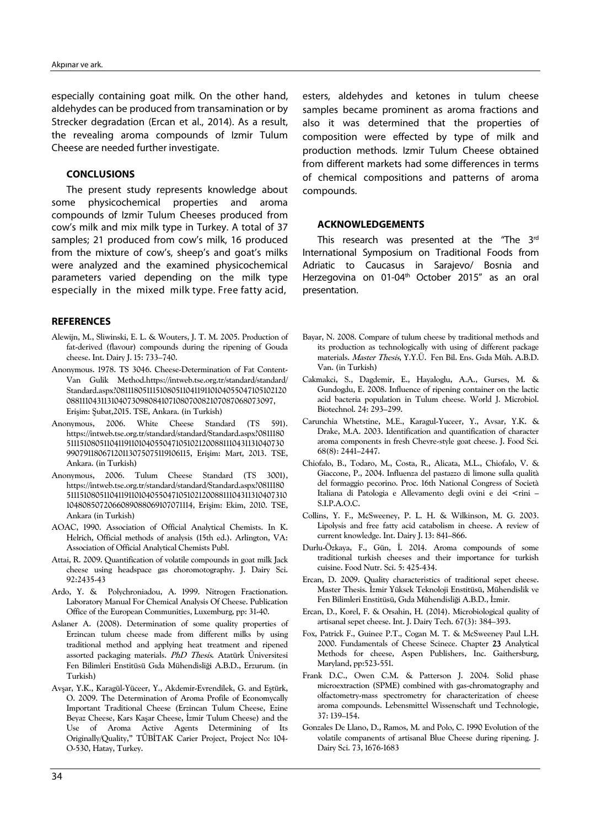especially containing goat milk. On the other hand, aldehydes can be produced from transamination or by Strecker degradation (Ercan et al., 2014). As a result, the revealing aroma compounds of Izmir Tulum Cheese are needed further investigate.

#### **CONCLUSIONS**

The present study represents knowledge about some physicochemical properties and aroma compounds of Izmir Tulum Cheeses produced from cow's milk and mix milk type in Turkey. A total of 37 samples; 21 produced from cow's milk, 16 produced from the mixture of cow's, sheep's and goat's milks were analyzed and the examined physicochemical parameters varied depending on the milk type especially in the mixed milk type. Free fatty acid,

#### **REFERENCES**

- Alewijn, M., Sliwinski, E. L. & Wouters, J. T. M. 2005. Production of fat-derived (flavour) compounds during the ripening of Gouda cheese. Int. Dairy J. 15: 733–740.
- Anonymous. 1978. TS 3046. Cheese-Determination of Fat Content-Van Gulik Method.https://intweb.tse.org.tr/standard/standard/ Standard.aspx?081118051115108051104119110104055047105102120 088111043113104073098084107108070082107087068073097, Erişim: Şubat,2015. TSE, Ankara. (in Turkish)
- Anonymous, 2006. White Cheese Standard (TS 591). https://intweb.tse.org.tr/standard/standard/Standard.aspx?0811180 511151080511041191101040550471051021200881110431131040730 99079118067120113075075119106115, Erişim: Mart, 2013. TSE, Ankara. (in Turkish)
- Anonymous, 2006. Tulum Cheese Standard (TS 3001), https://intweb.tse.org.tr/standard/standard/Standard.aspx?0811180 5111510805110411911010405504710510212008811104311310407310 1048085072066089088069107071114, Erişim: Ekim, 2010. TSE, Ankara (in Turkish)
- AOAC, 1990. Association of Official Analytical Chemists. In K. Helrich, Official methods of analysis (15th ed.). Arlington, VA: Association of Official Analytical Chemists Publ.
- Attai, R. 2009. Quantification of volatile compounds in goat milk Jack cheese using headspace gas choromotography. J. Dairy Sci. 92:2435-43
- Ardo, Y. & Polychroniadou, A. 1999. Nitrogen Fractionation. Laboratory Manual For Chemical Analysis Of Cheese. Publication Office of the European Communities, Luxemburg, pp: 31-40.
- Aslaner A. (2008). Determination of some quality properties of Erzincan tulum cheese made from different milks by using traditional method and applying heat treatment and ripened assorted packaging materials. PhD Thesis. Atatürk Üniversitesi Fen Bilimleri Enstitüsü Gıda Mühendisliği A.B.D., Erzurum. (in Turkish)
- Avşar, Y.K., Karagül-Yüceer, Y., Akdemir-Evrendilek, G. and Eştürk, O. 2009. The Determination of Aroma Profile of Economycally Important Traditional Cheese (Erzincan Tulum Cheese, Ezine Beyaz Cheese, Kars Kaşar Cheese, İzmir Tulum Cheese) and the Use of Aroma Active Agents Determining of Its Originally/Quality," TÜBİTAK Carier Project, Project No: 104- O-530, Hatay, Turkey.

esters, aldehydes and ketones in tulum cheese samples became prominent as aroma fractions and also it was determined that the properties of composition were effected by type of milk and production methods. Izmir Tulum Cheese obtained from different markets had some differences in terms of chemical compositions and patterns of aroma compounds.

#### **ACKNOWLEDGEMENTS**

This research was presented at the "The 3<sup>rd</sup> International Symposium on Traditional Foods from Adriatic to Caucasus in Sarajevo/ Bosnia and Herzegovina on 01-04<sup>th</sup> October 2015" as an oral presentation.

- Bayar, N. 2008. Compare of tulum cheese by traditional methods and its production as technologically with using of different package materials. Master Thesis, Y.Y.Ü. Fen Bil. Ens. Gıda Müh. A.B.D. Van. (in Turkish)
- Cakmakci, S., Dagdemir, E., Hayaloglu, A.A., Gurses, M. & Gundogdu, E. 2008. Influence of ripening container on the lactic acid bacteria population in Tulum cheese. World J. Microbiol. Biotechnol. 24: 293–299.
- Carunchia Whetstine, M.E., Karagul-Yuceer, Y., Avsar, Y.K. & Drake, M.A. 2003. Identification and quantification of character aroma components in fresh Chevre-style goat cheese. J. Food Sci. 68(8): 2441–2447.
- Chiofalo, B., Todaro, M., Costa, R., Alicata, M.L., Chiofalo, V. & Giaccone, P., 2004. Influenza del pastazzo di limone sulla qualità del formaggio pecorino. Proc. 16th National Congress of Società Italiana di Patologia e Allevamento degli ovini e dei <rini – S.I.P.A.O.C.
- Collins, Y. F., McSweeney, P. L. H. & Wilkinson, M. G. 2003. Lipolysis and free fatty acid catabolism in cheese. A review of current knowledge. Int. Dairy J. 13: 841–866.
- Durlu-Özkaya, F., Gün, İ. 2014. Aroma compounds of some traditional turkish cheeses and their importance for turkish cuisine. Food Nutr. Sci. 5: 425-434.
- Ercan, D. 2009. Quality characteristics of traditional sepet cheese. Master Thesis. İzmir Yüksek Teknoloji Enstitüsü, Mühendislik ve Fen Bilimleri Enstitüsü, Gıda Mühendisliği A.B.D., İzmir.
- Ercan, D., Korel, F. & Orsahin, H. (2014). Microbiological quality of artisanal sepet cheese. Int. J. Dairy Tech. 67(3): 384–393.
- Fox, Patrick F., Guinee P.T., Cogan M. T. & McSweeney Paul L.H. 2000. Fundamentals of Cheese Scinece. Chapter 23 Analytical Methods for cheese, Aspen Publishers, Inc. Gaithersburg, Maryland, pp:523-551.
- Frank D.C., Owen C.M. & Patterson J. 2004. Solid phase microextraction (SPME) combined with gas-chromatography and olfactometry-mass spectrometry for characterization of cheese aroma compounds. Lebensmittel Wissenschaft und Technologie, 37: 139–154.
- Gonzales De Llano, D., Ramos, M. and Polo, C. 1990 Evolution of the volatile companents of artisanal Blue Cheese during ripening. J. Dairy Sci. 73, 1676-1683